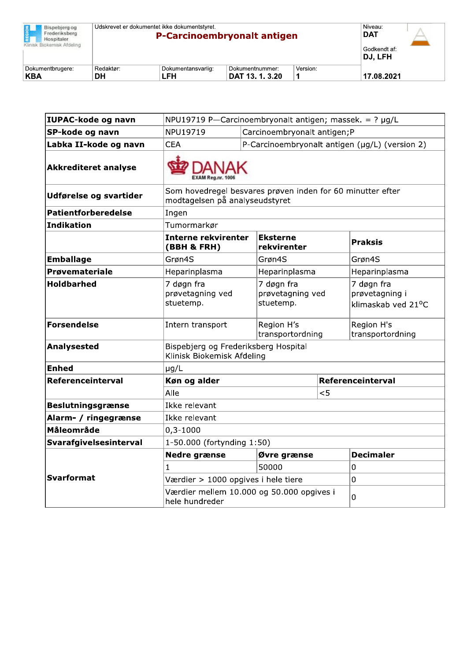| Bispebierg og<br>Frederiksberg<br>Hospitaler.<br>Klinisk Biokemisk Afdeling | Udskrevet er dokumentet ikke dokumentstyret.<br><b>P-Carcinoembryonalt antigen</b> |                           |                                    |          | Niveau:<br><b>DAT</b><br>Godkendt af:<br>DJ. LFH |  |
|-----------------------------------------------------------------------------|------------------------------------------------------------------------------------|---------------------------|------------------------------------|----------|--------------------------------------------------|--|
| Dokumentbrugere:<br><b>KBA</b>                                              | Redaktør:<br>DН                                                                    | Dokumentansvarlig:<br>LFH | Dokumentnummer:<br>DAT 13. 1. 3.20 | Version: | 17.08.2021                                       |  |

| IUPAC-kode og navn          | NPU19719 P-Carcinoembryonalt antigen; massek. = $? \mu g/L$                                  |                                                |                   |                                                    |  |
|-----------------------------|----------------------------------------------------------------------------------------------|------------------------------------------------|-------------------|----------------------------------------------------|--|
| SP-kode og navn             | NPU19719                                                                                     | Carcinoembryonalt antigen; P                   |                   |                                                    |  |
| Labka II-kode og navn       | <b>CEA</b>                                                                                   | P-Carcinoembryonalt antigen (µg/L) (version 2) |                   |                                                    |  |
| <b>Akkrediteret analyse</b> |                                                                                              |                                                |                   |                                                    |  |
| Udførelse og svartider      | Som hovedregel besvares prøven inden for 60 minutter efter<br>modtagelsen på analyseudstyret |                                                |                   |                                                    |  |
| <b>Patientforberedelse</b>  | Ingen                                                                                        |                                                |                   |                                                    |  |
| Indikation                  | Tumormarkør                                                                                  |                                                |                   |                                                    |  |
|                             | <b>Interne rekvirenter</b><br>(BBH & FRH)                                                    | <b>Eksterne</b><br>rekvirenter                 |                   | <b>Praksis</b>                                     |  |
| <b>Emballage</b>            | Grøn4S                                                                                       | Grøn4S                                         |                   | Grøn4S                                             |  |
| <b>Prøvemateriale</b>       | Heparinplasma<br>Heparinplasma                                                               |                                                |                   | Heparinplasma                                      |  |
| <b>Holdbarhed</b>           | 7 døgn fra<br>prøvetagning ved<br>stuetemp.                                                  | 7 døgn fra<br>prøvetagning ved<br>stuetemp.    |                   | 7 døgn fra<br>prøvetagning i<br>klimaskab ved 21°C |  |
| <b>Forsendelse</b>          | Intern transport                                                                             | Region H's<br>transportordning                 |                   | Region H's<br>transportordning                     |  |
| <b>Analysested</b>          | Bispebjerg og Frederiksberg Hospital<br>Klinisk Biokemisk Afdeling                           |                                                |                   |                                                    |  |
| <b>Enhed</b>                | $\mu$ g/L                                                                                    |                                                |                   |                                                    |  |
| Referenceinterval           | Køn og alder                                                                                 |                                                | Referenceinterval |                                                    |  |
|                             | Alle                                                                                         |                                                | < 5               |                                                    |  |
| <b>Beslutningsgrænse</b>    | Ikke relevant                                                                                |                                                |                   |                                                    |  |
| Alarm- / ringegrænse        | Ikke relevant                                                                                |                                                |                   |                                                    |  |
| Måleområde                  | $0,3 - 1000$                                                                                 |                                                |                   |                                                    |  |
| Svarafgivelsesinterval      | 1-50.000 (fortynding 1:50)                                                                   |                                                |                   |                                                    |  |
|                             | <b>Nedre grænse</b>                                                                          | Øvre grænse                                    |                   | <b>Decimaler</b>                                   |  |
|                             | $\mathbf{1}$                                                                                 | 50000                                          |                   | 0                                                  |  |
| Svarformat                  | Værdier > 1000 opgives i hele tiere                                                          |                                                |                   | $\overline{0}$                                     |  |
|                             | Værdier mellem 10.000 og 50.000 opgives i<br>hele hundreder                                  |                                                | 0                 |                                                    |  |